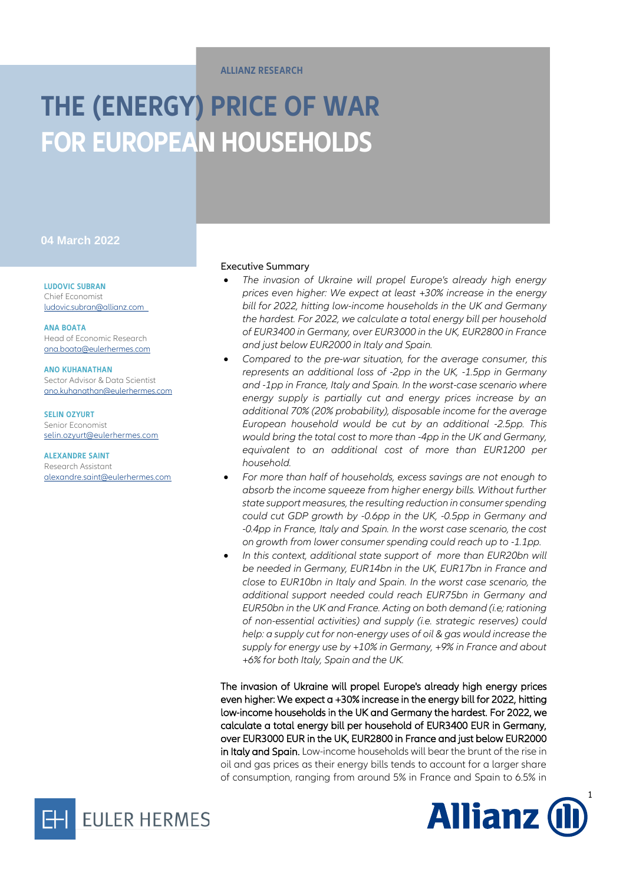#### **ALLIANZ RESEARCH**

# **THE (ENERGY) PRICE OF WAR FOR EUROPEAN HOUSEHOLDS**

### **04 March 2022**

**LUDOVIC SUBRAN** Chief Economist [ludovic.subran@allianz.com](mailto:ludovic.subran@allianz.com)

**ANA BOATA** Head of Economic Research [ana.boata@eulerhermes.com](mailto:ana.boata@eulerhermes.com)

**ANO KUHANATHAN** Sector Advisor & Data Scientist [ano.kuhanathan@eulerhermes.com](mailto:ano.kuhanathan@eulerhermes.com)

**SELIN OZYURT** Senior Economist [selin.ozyurt@eulerhermes.com](mailto:selin.ozyurt@eulerhermes.com)

**ALEXANDRE SAINT** Research Assistant [alexandre.saint@eulerhermes.com](mailto:alexandre.saint@eulerhermes.com)



- *The invasion of Ukraine will propel Europe's already high energy prices even higher: We expect at least +30% increase in the energy bill for 2022, hitting low-income households in the UK and Germany the hardest. For 2022, we calculate a total energy bill per household of EUR3400 in Germany, over EUR3000 in the UK, EUR2800 in France and just below EUR2000 in Italy and Spain.*
- *Compared to the pre-war situation, for the average consumer, this represents an additional loss of -2pp in the UK, -1.5pp in Germany and -1pp in France, Italy and Spain. In the worst-case scenario where energy supply is partially cut and energy prices increase by an additional 70% (20% probability), disposable income for the average European household would be cut by an additional -2.5pp. This would bring the total cost to more than -4pp in the UK and Germany, equivalent to an additional cost of more than EUR1200 per household.*
- *For more than half of households, excess savings are not enough to absorb the income squeeze from higher energy bills. Without further state support measures, the resulting reduction in consumer spending could cut GDP growth by -0.6pp in the UK, -0.5pp in Germany and -0.4pp in France, Italy and Spain. In the worst case scenario, the cost on growth from lower consumer spending could reach up to -1.1pp.*
- *In this context, additional state support of more than EUR20bn will be needed in Germany, EUR14bn in the UK, EUR17bn in France and close to EUR10bn in Italy and Spain. In the worst case scenario, the additional support needed could reach EUR75bn in Germany and EUR50bn in the UK and France. Acting on both demand (i.e; rationing of non-essential activities) and supply (i.e. strategic reserves) could help: a supply cut for non-energy uses of oil & gas would increase the supply for energy use by +10% in Germany, +9% in France and about +6% for both Italy, Spain and the UK.*

The invasion of Ukraine will propel Europe's already high energy prices even higher: We expect a +30% increase in the energy bill for 2022, hitting low-income households in the UK and Germany the hardest. For 2022, we calculate a total energy bill per household of EUR3400 EUR in Germany, over EUR3000 EUR in the UK, EUR2800 in France and just below EUR2000 in Italy and Spain. Low-income households will bear the brunt of the rise in oil and gas prices as their energy bills tends to account for a larger share of consumption, ranging from around 5% in France and Spain to 6.5% in



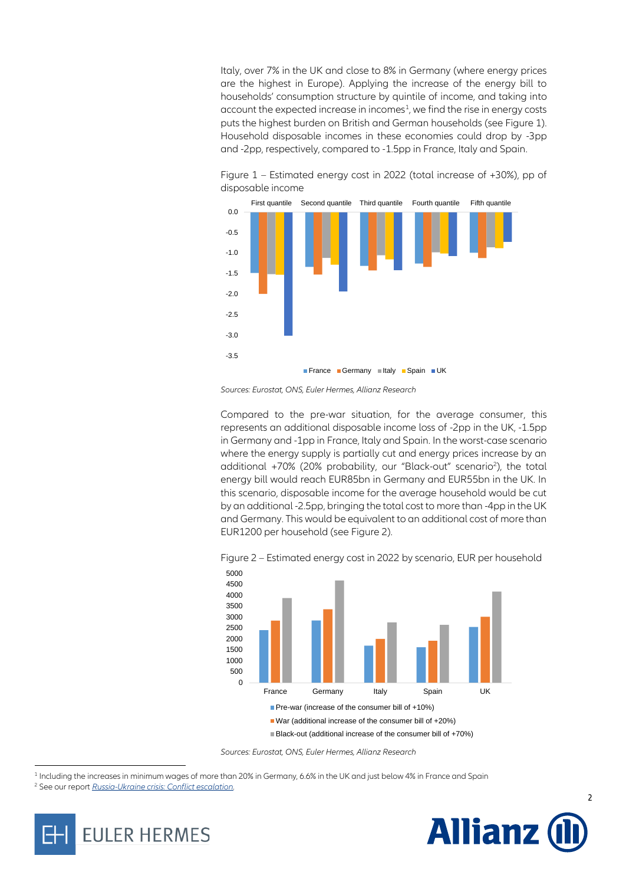Italy, over 7% in the UK and close to 8% in Germany (where energy prices are the highest in Europe). Applying the increase of the energy bill to households' consumption structure by quintile of income, and taking into  $\alpha$  account the expected increase in incomes<sup>1</sup>, we find the rise in energy costs puts the highest burden on British and German households (see Figure 1). Household disposable incomes in these economies could drop by -3pp and -2pp, respectively, compared to -1.5pp in France, Italy and Spain.



Figure 1 – Estimated energy cost in 2022 (total increase of +30%), pp of disposable income

Compared to the pre-war situation, for the average consumer, this represents an additional disposable income loss of -2pp in the UK, -1.5pp in Germany and -1pp in France, Italy and Spain. In the worst-case scenario where the energy supply is partially cut and energy prices increase by an additional +70% (20% probability, our "Black-out" scenario<sup>2</sup>), the total energy bill would reach EUR85bn in Germany and EUR55bn in the UK. In this scenario, disposable income for the average household would be cut by an additional -2.5pp, bringing the total cost to more than -4pp in the UK and Germany. This would be equivalent to an additional cost of more than EUR1200 per household (see Figure 2).



2

**Allianz** 

Figure 2 – Estimated energy cost in 2022 by scenario, EUR per household

<sup>1</sup> Including the increases in minimum wages of more than 20% in Germany, 6.6% in the UK and just below 4% in France and Spain

<sup>2</sup> See our report *[Russia-Ukraine crisis: Conflict escalation.](https://www.allianz.com/en/economic_research/publications/specials_fmo/2022_02_24_RussiaUkraine.html)*



 $\overline{a}$ 

*Sources: Eurostat, ONS, Euler Hermes, Allianz Research*

*Sources: Eurostat, ONS, Euler Hermes, Allianz Research*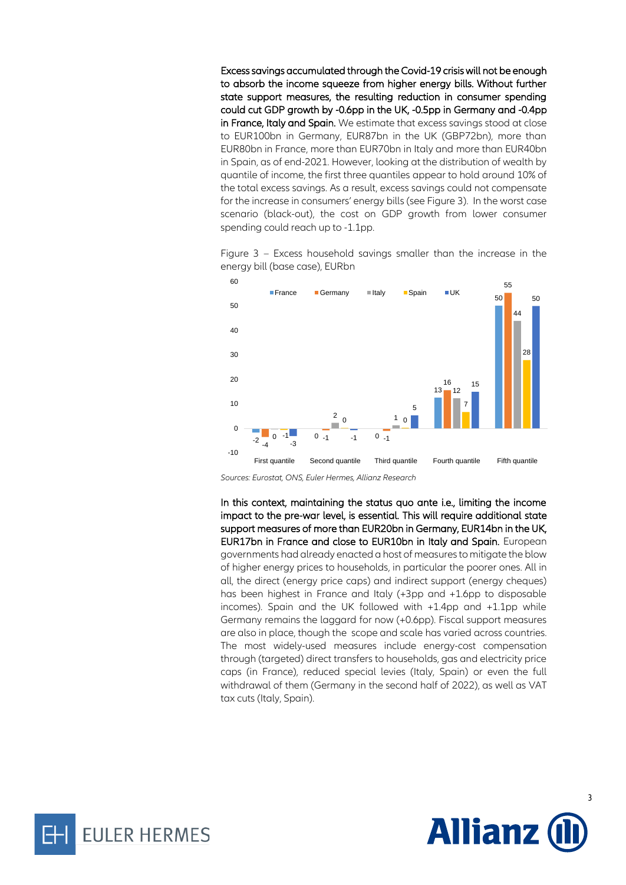Excess savings accumulated through the Covid-19 crisis will not be enough to absorb the income squeeze from higher energy bills. Without further state support measures, the resulting reduction in consumer spending could cut GDP growth by -0.6pp in the UK, -0.5pp in Germany and -0.4pp in France, Italy and Spain. We estimate that excess savings stood at close to EUR100bn in Germany, EUR87bn in the UK (GBP72bn), more than EUR80bn in France, more than EUR70bn in Italy and more than EUR40bn in Spain, as of end-2021. However, looking at the distribution of wealth by quantile of income, the first three quantiles appear to hold around 10% of the total excess savings. As a result, excess savings could not compensate for the increase in consumers' energy bills (see Figure 3). In the worst case scenario (black-out), the cost on GDP growth from lower consumer spending could reach up to -1.1pp.



Figure 3 – Excess household savings smaller than the increase in the energy bill (base case), EURbn

*Sources: Eurostat, ONS, Euler Hermes, Allianz Research*

In this context, maintaining the status quo ante i.e., limiting the income impact to the pre-war level, is essential. This will require additional state support measures of more than EUR20bn in Germany, EUR14bn in the UK, EUR17bn in France and close to EUR10bn in Italy and Spain. European governments had already enacted a host of measures to mitigate the blow of higher energy prices to households, in particular the poorer ones. All in all, the direct (energy price caps) and indirect support (energy cheques) has been highest in France and Italy (+3pp and +1.6pp to disposable incomes). Spain and the UK followed with +1.4pp and +1.1pp while Germany remains the laggard for now (+0.6pp). Fiscal support measures are also in place, though the scope and scale has varied across countries. The most widely-used measures include energy-cost compensation through (targeted) direct transfers to households, gas and electricity price caps (in France), reduced special levies (Italy, Spain) or even the full withdrawal of them (Germany in the second half of 2022), as well as VAT tax cuts (Italy, Spain).



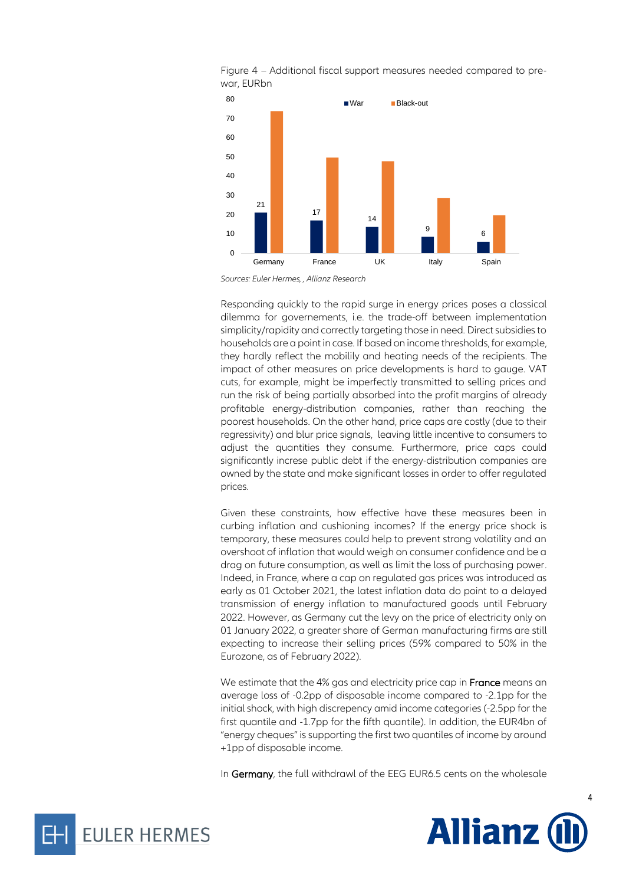



Responding quickly to the rapid surge in energy prices poses a classical dilemma for governements, i.e. the trade-off between implementation simplicity/rapidity and correctly targeting those in need. Direct subsidies to households are a point in case. If based on income thresholds, for example, they hardly reflect the mobilily and heating needs of the recipients. The impact of other measures on price developments is hard to gauge. VAT cuts, for example, might be imperfectly transmitted to selling prices and run the risk of being partially absorbed into the profit margins of already profitable energy-distribution companies, rather than reaching the poorest households. On the other hand, price caps are costly (due to their regressivity) and blur price signals, leaving little incentive to consumers to adjust the quantities they consume. Furthermore, price caps could significantly increse public debt if the energy-distribution companies are owned by the state and make significant losses in order to offer regulated prices.

Given these constraints, how effective have these measures been in curbing inflation and cushioning incomes? If the energy price shock is temporary, these measures could help to prevent strong volatility and an overshoot of inflation that would weigh on consumer confidence and be a drag on future consumption, as well as limit the loss of purchasing power. Indeed, in France, where a cap on regulated gas prices was introduced as early as 01 October 2021, the latest inflation data do point to a delayed transmission of energy inflation to manufactured goods until February 2022. However, as Germany cut the levy on the price of electricity only on 01 January 2022, a greater share of German manufacturing firms are still expecting to increase their selling prices (59% compared to 50% in the Eurozone, as of February 2022).

We estimate that the 4% gas and electricity price cap in France means an average loss of -0.2pp of disposable income compared to -2.1pp for the initial shock, with high discrepency amid income categories (-2.5pp for the first quantile and -1.7pp for the fifth quantile). In addition, the EUR4bn of "energy cheques" is supporting the first two quantiles of income by around +1pp of disposable income.

In Germany, the full withdrawl of the EEG EUR6.5 cents on the wholesale





*Sources: Euler Hermes, , Allianz Research*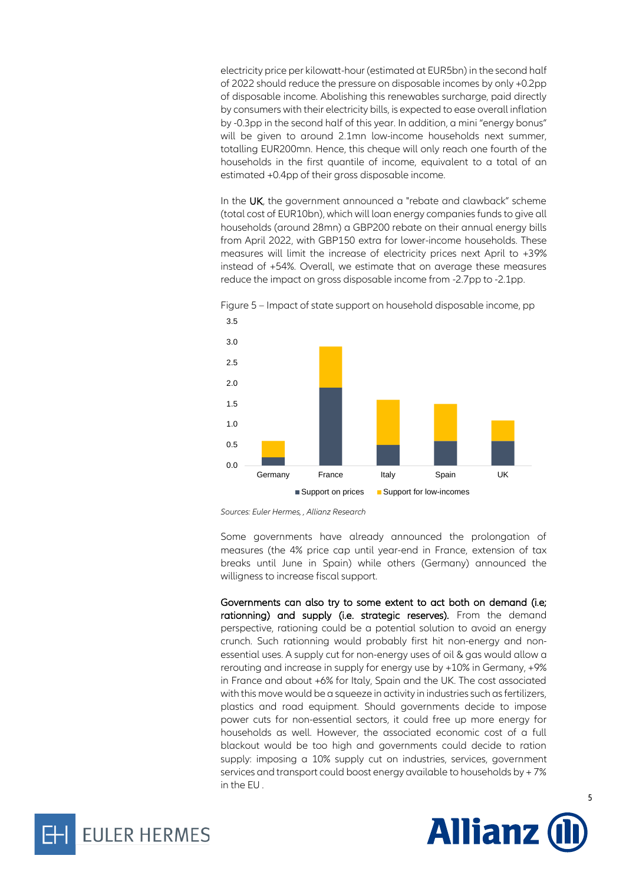electricity price per kilowatt-hour (estimated at EUR5bn) in the second half of 2022 should reduce the pressure on disposable incomes by only +0.2pp of disposable income. Abolishing this renewables surcharge, paid directly by consumers with their electricity bills, is expected to ease overall inflation by -0.3pp in the second half of this year. In addition, a mini "energy bonus" will be given to around 2.1mn low-income households next summer, totalling EUR200mn. Hence, this cheque will only reach one fourth of the households in the first quantile of income, equivalent to a total of an estimated +0.4pp of their gross disposable income.

In the UK, the government announced a "rebate and clawback" scheme (total cost of EUR10bn), which will loan energy companies funds to give all households (around 28mn) a GBP200 rebate on their annual energy bills from April 2022, with GBP150 extra for lower-income households. These measures will limit the increase of electricity prices next April to +39% instead of +54%. Overall, we estimate that on average these measures reduce the impact on gross disposable income from -2.7pp to -2.1pp.



Figure 5 – Impact of state support on household disposable income, pp

Some governments have already announced the prolongation of measures (the 4% price cap until year-end in France, extension of tax breaks until June in Spain) while others (Germany) announced the willigness to increase fiscal support.

Governments can also try to some extent to act both on demand (i.e; rationning) and supply (i.e. strategic reserves). From the demand perspective, rationing could be a potential solution to avoid an energy crunch. Such rationning would probably first hit non-energy and nonessential uses. A supply cut for non-energy uses of oil & gas would allow a rerouting and increase in supply for energy use by +10% in Germany, +9% in France and about +6% for Italy, Spain and the UK. The cost associated with this move would be a squeeze in activity in industries such as fertilizers, plastics and road equipment. Should governments decide to impose power cuts for non-essential sectors, it could free up more energy for households as well. However, the associated economic cost of a full blackout would be too high and governments could decide to ration supply: imposing a 10% supply cut on industries, services, government services and transport could boost energy available to households by + 7% in the EU .





*Sources: Euler Hermes, , Allianz Research*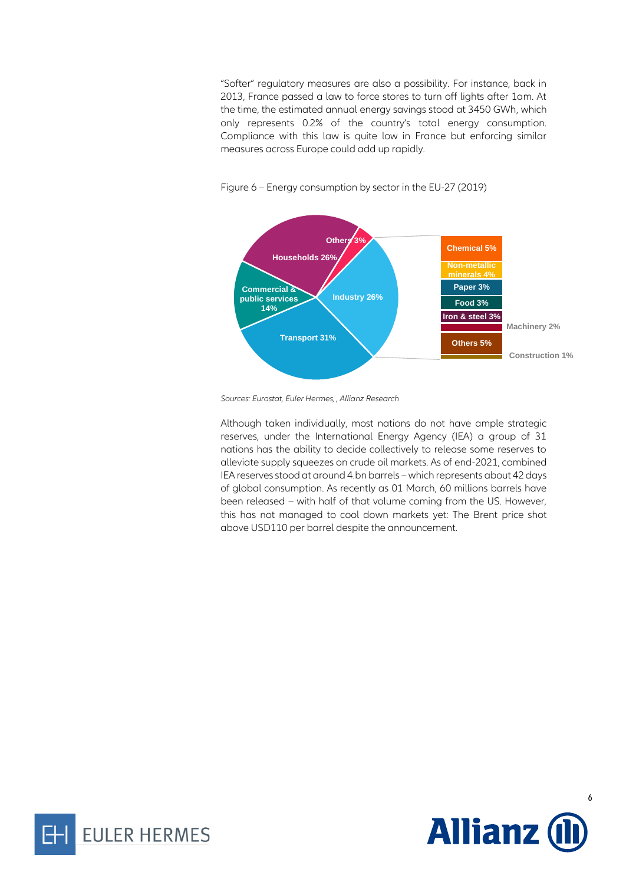"Softer" regulatory measures are also a possibility. For instance, back in 2013, France passed a law to force stores to turn off lights after 1am. At the time, the estimated annual energy savings stood at 3450 GWh, which only represents 0.2% of the country's total energy consumption. Compliance with this law is quite low in France but enforcing similar measures across Europe could add up rapidly.



Figure 6 – Energy consumption by sector in the EU-27 (2019)

*Sources: Eurostat, Euler Hermes, , Allianz Research*

Although taken individually, most nations do not have ample strategic reserves, under the International Energy Agency (IEA) a group of 31 nations has the ability to decide collectively to release some reserves to alleviate supply squeezes on crude oil markets. As of end-2021, combined IEA reserves stood at around 4.bn barrels – which represents about 42 days of global consumption. As recently as 01 March, 60 millions barrels have been released – with half of that volume coming from the US. However, this has not managed to cool down markets yet: The Brent price shot above USD110 per barrel despite the announcement.